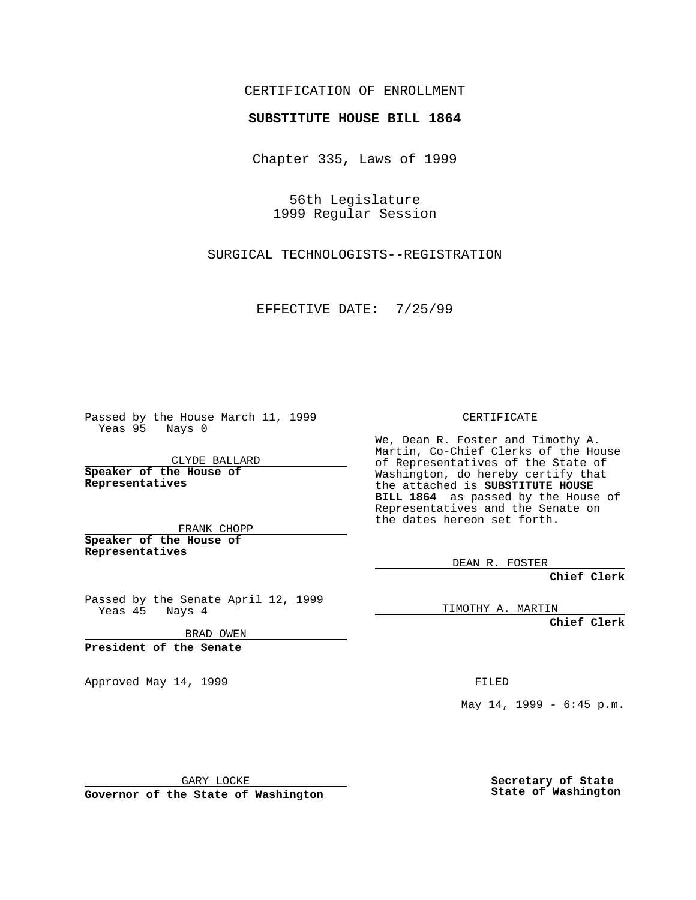## CERTIFICATION OF ENROLLMENT

## **SUBSTITUTE HOUSE BILL 1864**

Chapter 335, Laws of 1999

56th Legislature 1999 Regular Session

SURGICAL TECHNOLOGISTS--REGISTRATION

EFFECTIVE DATE: 7/25/99

Passed by the House March 11, 1999 Yeas 95 Nays 0

CLYDE BALLARD **Speaker of the House of Representatives**

FRANK CHOPP **Speaker of the House of Representatives**

Passed by the Senate April 12, 1999 Yeas 45 Nays 4

BRAD OWEN

**President of the Senate**

Approved May 14, 1999 **FILED** 

CERTIFICATE

We, Dean R. Foster and Timothy A. Martin, Co-Chief Clerks of the House of Representatives of the State of Washington, do hereby certify that the attached is **SUBSTITUTE HOUSE BILL 1864** as passed by the House of Representatives and the Senate on the dates hereon set forth.

DEAN R. FOSTER

**Chief Clerk**

TIMOTHY A. MARTIN

**Chief Clerk**

May 14, 1999 - 6:45 p.m.

GARY LOCKE

**Governor of the State of Washington**

**Secretary of State State of Washington**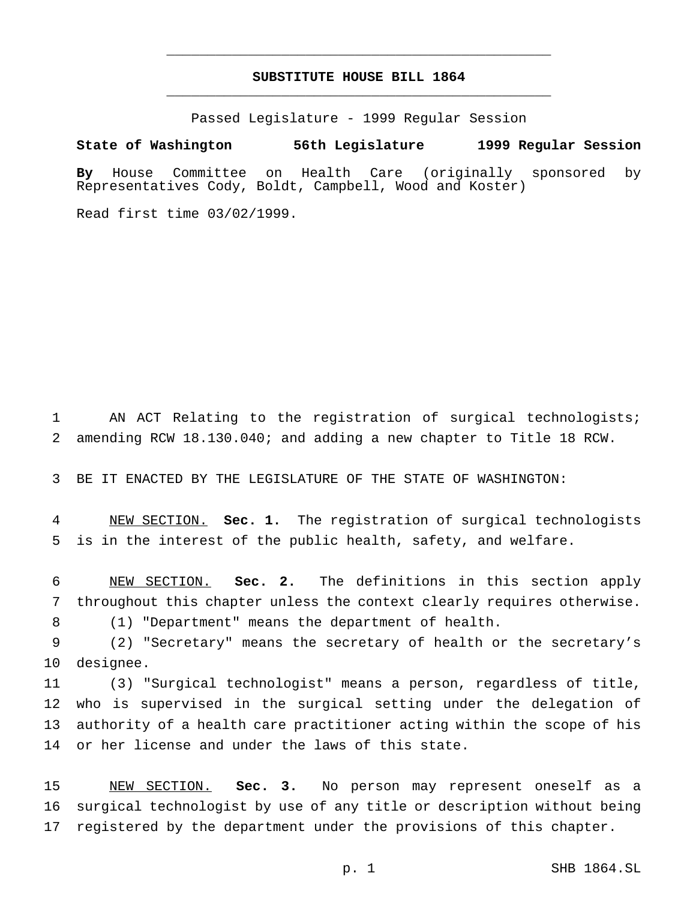## **SUBSTITUTE HOUSE BILL 1864** \_\_\_\_\_\_\_\_\_\_\_\_\_\_\_\_\_\_\_\_\_\_\_\_\_\_\_\_\_\_\_\_\_\_\_\_\_\_\_\_\_\_\_\_\_\_\_

\_\_\_\_\_\_\_\_\_\_\_\_\_\_\_\_\_\_\_\_\_\_\_\_\_\_\_\_\_\_\_\_\_\_\_\_\_\_\_\_\_\_\_\_\_\_\_

Passed Legislature - 1999 Regular Session

## **State of Washington 56th Legislature 1999 Regular Session**

**By** House Committee on Health Care (originally sponsored by Representatives Cody, Boldt, Campbell, Wood and Koster)

Read first time 03/02/1999.

1 AN ACT Relating to the registration of surgical technologists; 2 amending RCW 18.130.040; and adding a new chapter to Title 18 RCW.

3 BE IT ENACTED BY THE LEGISLATURE OF THE STATE OF WASHINGTON:

4 NEW SECTION. **Sec. 1.** The registration of surgical technologists 5 is in the interest of the public health, safety, and welfare.

6 NEW SECTION. **Sec. 2.** The definitions in this section apply 7 throughout this chapter unless the context clearly requires otherwise.

8 (1) "Department" means the department of health.

9 (2) "Secretary" means the secretary of health or the secretary's 10 designee.

 (3) "Surgical technologist" means a person, regardless of title, who is supervised in the surgical setting under the delegation of authority of a health care practitioner acting within the scope of his or her license and under the laws of this state.

15 NEW SECTION. **Sec. 3.** No person may represent oneself as a 16 surgical technologist by use of any title or description without being 17 registered by the department under the provisions of this chapter.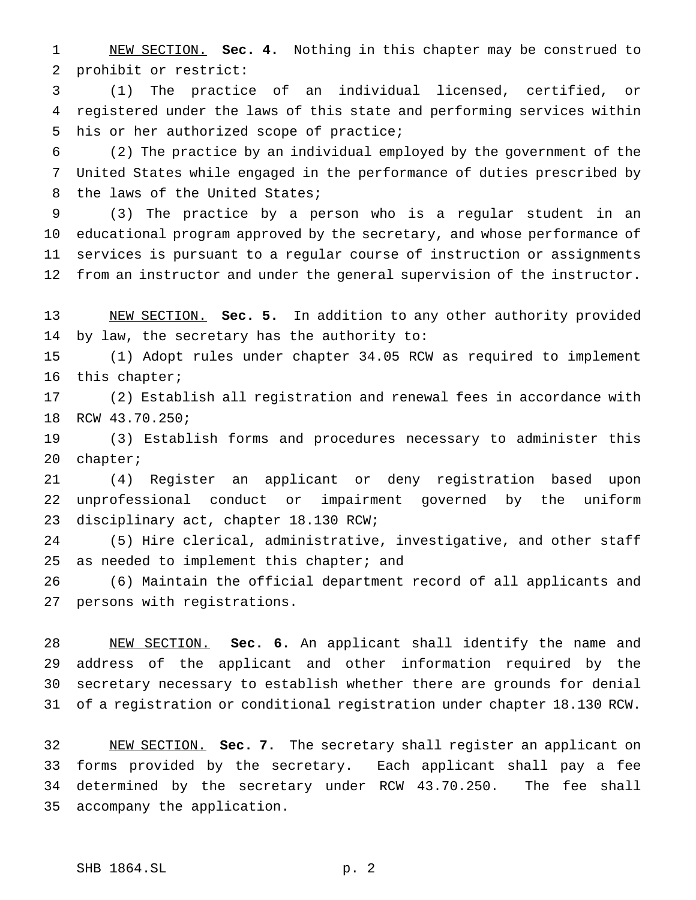NEW SECTION. **Sec. 4.** Nothing in this chapter may be construed to prohibit or restrict:

 (1) The practice of an individual licensed, certified, or registered under the laws of this state and performing services within his or her authorized scope of practice;

 (2) The practice by an individual employed by the government of the United States while engaged in the performance of duties prescribed by the laws of the United States;

 (3) The practice by a person who is a regular student in an educational program approved by the secretary, and whose performance of services is pursuant to a regular course of instruction or assignments from an instructor and under the general supervision of the instructor.

 NEW SECTION. **Sec. 5.** In addition to any other authority provided by law, the secretary has the authority to:

 (1) Adopt rules under chapter 34.05 RCW as required to implement this chapter;

 (2) Establish all registration and renewal fees in accordance with RCW 43.70.250;

 (3) Establish forms and procedures necessary to administer this chapter;

 (4) Register an applicant or deny registration based upon unprofessional conduct or impairment governed by the uniform disciplinary act, chapter 18.130 RCW;

 (5) Hire clerical, administrative, investigative, and other staff 25 as needed to implement this chapter; and

 (6) Maintain the official department record of all applicants and persons with registrations.

 NEW SECTION. **Sec. 6.** An applicant shall identify the name and address of the applicant and other information required by the secretary necessary to establish whether there are grounds for denial of a registration or conditional registration under chapter 18.130 RCW.

 NEW SECTION. **Sec. 7.** The secretary shall register an applicant on forms provided by the secretary. Each applicant shall pay a fee determined by the secretary under RCW 43.70.250. The fee shall accompany the application.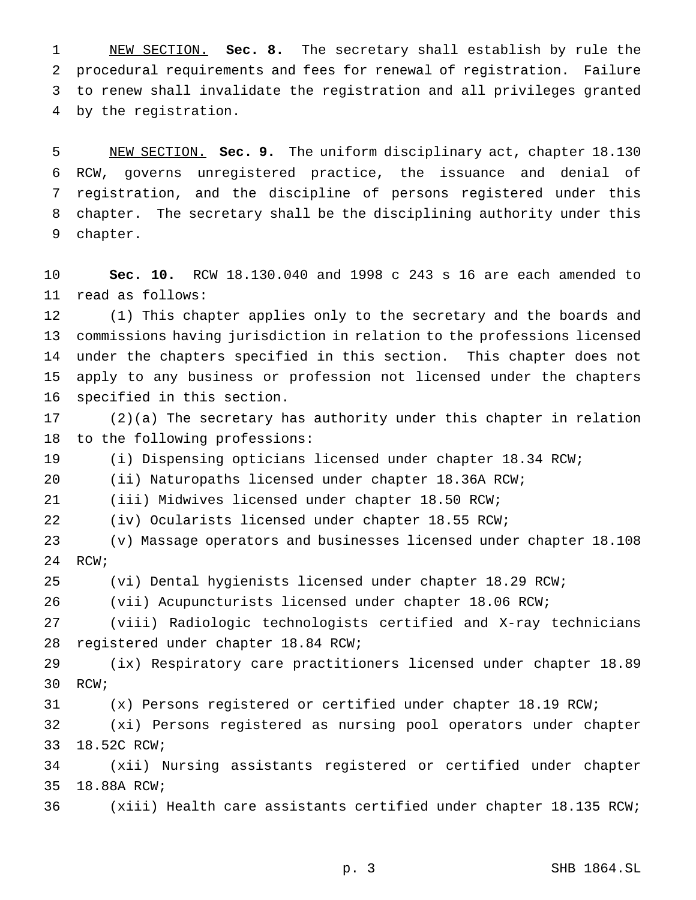NEW SECTION. **Sec. 8.** The secretary shall establish by rule the procedural requirements and fees for renewal of registration. Failure to renew shall invalidate the registration and all privileges granted by the registration.

 NEW SECTION. **Sec. 9.** The uniform disciplinary act, chapter 18.130 RCW, governs unregistered practice, the issuance and denial of registration, and the discipline of persons registered under this chapter. The secretary shall be the disciplining authority under this chapter.

 **Sec. 10.** RCW 18.130.040 and 1998 c 243 s 16 are each amended to read as follows:

 (1) This chapter applies only to the secretary and the boards and commissions having jurisdiction in relation to the professions licensed under the chapters specified in this section. This chapter does not apply to any business or profession not licensed under the chapters specified in this section.

 (2)(a) The secretary has authority under this chapter in relation to the following professions:

(i) Dispensing opticians licensed under chapter 18.34 RCW;

(ii) Naturopaths licensed under chapter 18.36A RCW;

(iii) Midwives licensed under chapter 18.50 RCW;

(iv) Ocularists licensed under chapter 18.55 RCW;

 (v) Massage operators and businesses licensed under chapter 18.108 RCW;

(vi) Dental hygienists licensed under chapter 18.29 RCW;

(vii) Acupuncturists licensed under chapter 18.06 RCW;

 (viii) Radiologic technologists certified and X-ray technicians registered under chapter 18.84 RCW;

 (ix) Respiratory care practitioners licensed under chapter 18.89 RCW;

(x) Persons registered or certified under chapter 18.19 RCW;

 (xi) Persons registered as nursing pool operators under chapter 18.52C RCW;

 (xii) Nursing assistants registered or certified under chapter 18.88A RCW;

(xiii) Health care assistants certified under chapter 18.135 RCW;

p. 3 SHB 1864.SL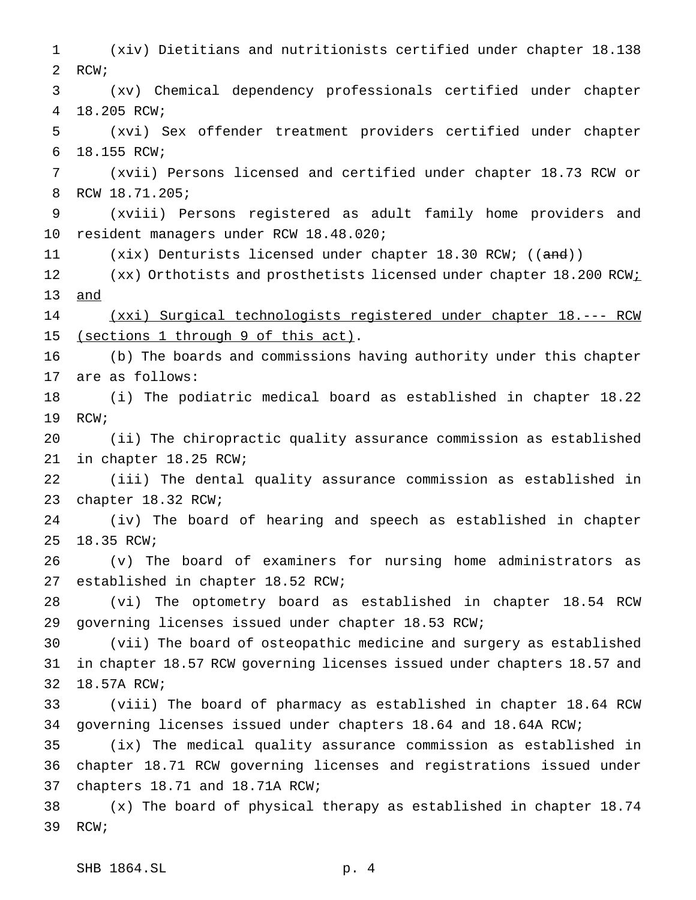(xiv) Dietitians and nutritionists certified under chapter 18.138 RCW; (xv) Chemical dependency professionals certified under chapter 18.205 RCW; (xvi) Sex offender treatment providers certified under chapter 18.155 RCW; (xvii) Persons licensed and certified under chapter 18.73 RCW or RCW 18.71.205; (xviii) Persons registered as adult family home providers and resident managers under RCW 18.48.020; 11 (xix) Denturists licensed under chapter 18.30 RCW; ((and)) 12 (xx) Orthotists and prosthetists licensed under chapter 18.200 RCW<sub>i</sub> and (xxi) Surgical technologists registered under chapter 18.--- RCW 15 (sections 1 through 9 of this act). (b) The boards and commissions having authority under this chapter are as follows: (i) The podiatric medical board as established in chapter 18.22 RCW; (ii) The chiropractic quality assurance commission as established in chapter 18.25 RCW; (iii) The dental quality assurance commission as established in chapter 18.32 RCW; (iv) The board of hearing and speech as established in chapter 18.35 RCW; (v) The board of examiners for nursing home administrators as established in chapter 18.52 RCW; (vi) The optometry board as established in chapter 18.54 RCW governing licenses issued under chapter 18.53 RCW; (vii) The board of osteopathic medicine and surgery as established in chapter 18.57 RCW governing licenses issued under chapters 18.57 and 18.57A RCW; (viii) The board of pharmacy as established in chapter 18.64 RCW governing licenses issued under chapters 18.64 and 18.64A RCW; (ix) The medical quality assurance commission as established in chapter 18.71 RCW governing licenses and registrations issued under chapters 18.71 and 18.71A RCW; (x) The board of physical therapy as established in chapter 18.74 RCW;